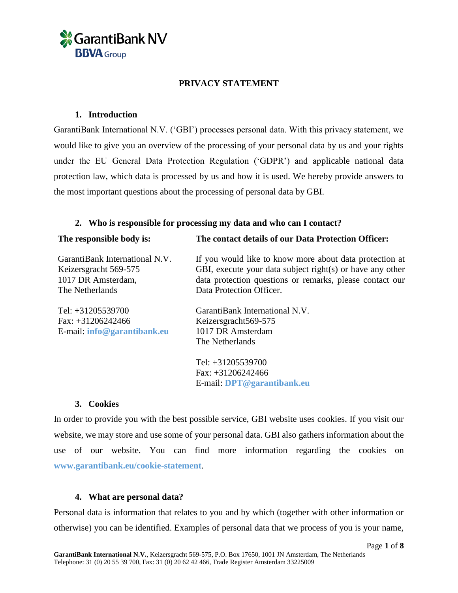

### **PRIVACY STATEMENT**

#### **1. Introduction**

GarantiBank International N.V. ('GBI') processes personal data. With this privacy statement, we would like to give you an overview of the processing of your personal data by us and your rights under the EU General Data Protection Regulation ('GDPR') and applicable national data protection law, which data is processed by us and how it is used. We hereby provide answers to the most important questions about the processing of personal data by GBI.

### **2. Who is responsible for processing my data and who can I contact?**

| The responsible body is:       | The contact details of our Data Protection Officer:       |
|--------------------------------|-----------------------------------------------------------|
| GarantiBank International N.V. | If you would like to know more about data protection at   |
| Keizersgracht 569-575          | GBI, execute your data subject right(s) or have any other |
| 1017 DR Amsterdam,             | data protection questions or remarks, please contact our  |
| The Netherlands                | Data Protection Officer.                                  |
| Tel: $+31205539700$            | GarantiBank International N.V.                            |
| Fax: $+31206242466$            | Keizersgracht569-575                                      |
| E-mail: info@garantibank.eu    | 1017 DR Amsterdam                                         |
|                                | The Netherlands                                           |
|                                | Tel: $+31205539700$                                       |
|                                | Fax: $+31206242466$                                       |

#### **3. Cookies**

In order to provide you with the best possible service, GBI website uses cookies. If you visit our website, we may store and use some of your personal data. GBI also gathers information about the use of our website. You can find more information regarding the cookies on **[www.garantibank.eu/cookie-statement](http://www.garantibank.eu/cookie-statement)**.

E-mail: **[DPT@garantibank.eu](mailto:DPT@garantibank.eu)**

### **4. What are personal data?**

Personal data is information that relates to you and by which (together with other information or otherwise) you can be identified. Examples of personal data that we process of you is your name,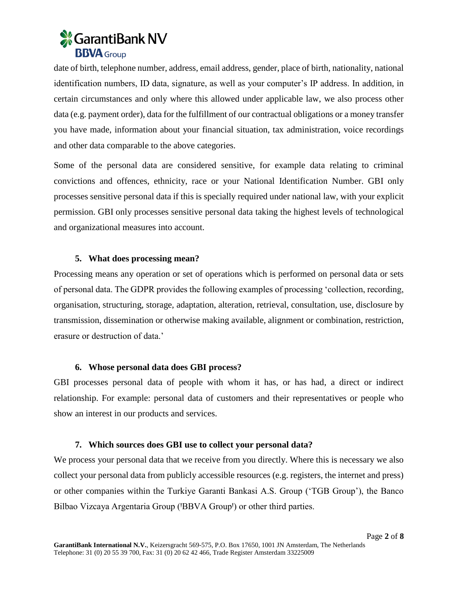

date of birth, telephone number, address, email address, gender, place of birth, nationality, national identification numbers, ID data, signature, as well as your computer's IP address. In addition, in certain circumstances and only where this allowed under applicable law, we also process other data (e.g. payment order), data for the fulfillment of our contractual obligations or a money transfer you have made, information about your financial situation, tax administration, voice recordings and other data comparable to the above categories.

Some of the personal data are considered sensitive, for example data relating to criminal convictions and offences, ethnicity, race or your National Identification Number. GBI only processes sensitive personal data if this is specially required under national law, with your explicit permission. GBI only processes sensitive personal data taking the highest levels of technological and organizational measures into account.

### **5. What does processing mean?**

Processing means any operation or set of operations which is performed on personal data or sets of personal data. The GDPR provides the following examples of processing 'collection, recording, organisation, structuring, storage, adaptation, alteration, retrieval, consultation, use, disclosure by transmission, dissemination or otherwise making available, alignment or combination, restriction, erasure or destruction of data.'

## **6. Whose personal data does GBI process?**

GBI processes personal data of people with whom it has, or has had, a direct or indirect relationship. For example: personal data of customers and their representatives or people who show an interest in our products and services.

### **7. Which sources does GBI use to collect your personal data?**

We process your personal data that we receive from you directly. Where this is necessary we also collect your personal data from publicly accessible resources (e.g. registers, the internet and press) or other companies within the Turkiye Garanti Bankasi A.S. Group ('TGB Group'), the Banco Bilbao Vizcaya Argentaria Group ('BBVA Group') or other third parties.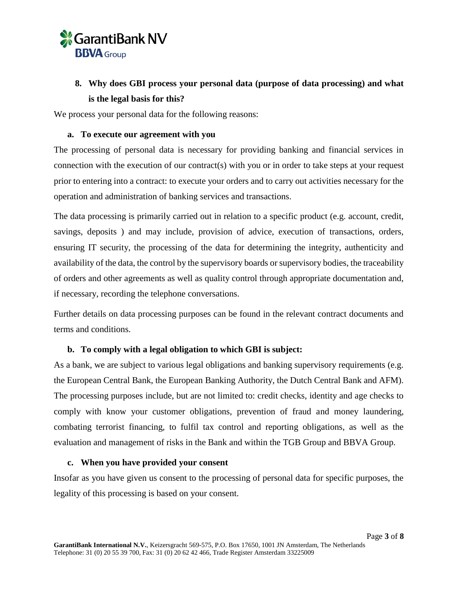

# **8. Why does GBI process your personal data (purpose of data processing) and what is the legal basis for this?**

We process your personal data for the following reasons:

### **a. To execute our agreement with you**

The processing of personal data is necessary for providing banking and financial services in connection with the execution of our contract(s) with you or in order to take steps at your request prior to entering into a contract: to execute your orders and to carry out activities necessary for the operation and administration of banking services and transactions.

The data processing is primarily carried out in relation to a specific product (e.g. account, credit, savings, deposits ) and may include, provision of advice, execution of transactions, orders, ensuring IT security, the processing of the data for determining the integrity, authenticity and availability of the data, the control by the supervisory boards or supervisory bodies, the traceability of orders and other agreements as well as quality control through appropriate documentation and, if necessary, recording the telephone conversations.

Further details on data processing purposes can be found in the relevant contract documents and terms and conditions.

## **b. To comply with a legal obligation to which GBI is subject:**

As a bank, we are subject to various legal obligations and banking supervisory requirements (e.g. the European Central Bank, the European Banking Authority, the Dutch Central Bank and AFM). The processing purposes include, but are not limited to: credit checks, identity and age checks to comply with know your customer obligations, prevention of fraud and money laundering, combating terrorist financing, to fulfil tax control and reporting obligations, as well as the evaluation and management of risks in the Bank and within the TGB Group and BBVA Group.

### **c. When you have provided your consent**

Insofar as you have given us consent to the processing of personal data for specific purposes, the legality of this processing is based on your consent.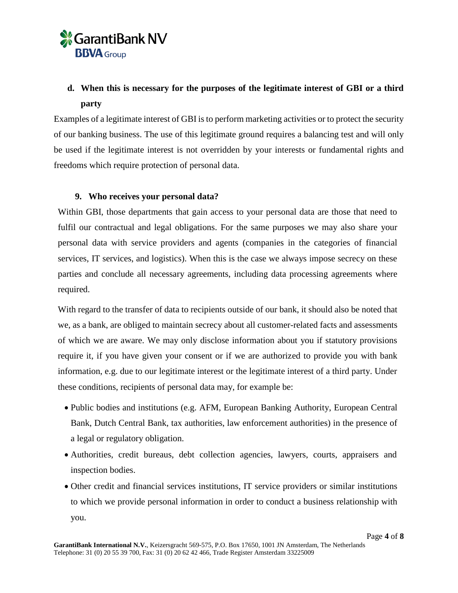

# **d. When this is necessary for the purposes of the legitimate interest of GBI or a third party**

Examples of a legitimate interest of GBI is to perform marketing activities or to protect the security of our banking business. The use of this legitimate ground requires a balancing test and will only be used if the legitimate interest is not overridden by your interests or fundamental rights and freedoms which require protection of personal data.

## **9. Who receives your personal data?**

Within GBI, those departments that gain access to your personal data are those that need to fulfil our contractual and legal obligations. For the same purposes we may also share your personal data with service providers and agents (companies in the categories of financial services, IT services, and logistics). When this is the case we always impose secrecy on these parties and conclude all necessary agreements, including data processing agreements where required.

With regard to the transfer of data to recipients outside of our bank, it should also be noted that we, as a bank, are obliged to maintain secrecy about all customer-related facts and assessments of which we are aware. We may only disclose information about you if statutory provisions require it, if you have given your consent or if we are authorized to provide you with bank information, e.g. due to our legitimate interest or the legitimate interest of a third party. Under these conditions, recipients of personal data may, for example be:

- Public bodies and institutions (e.g. AFM, European Banking Authority, European Central Bank, Dutch Central Bank, tax authorities, law enforcement authorities) in the presence of a legal or regulatory obligation.
- Authorities, credit bureaus, debt collection agencies, lawyers, courts, appraisers and inspection bodies.
- Other credit and financial services institutions, IT service providers or similar institutions to which we provide personal information in order to conduct a business relationship with you.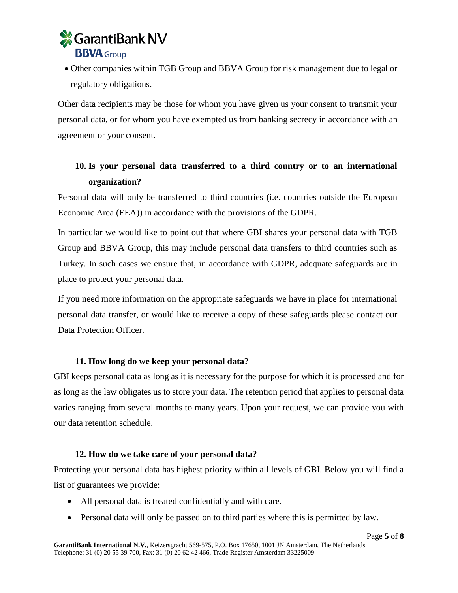

 Other companies within TGB Group and BBVA Group for risk management due to legal or regulatory obligations.

Other data recipients may be those for whom you have given us your consent to transmit your personal data, or for whom you have exempted us from banking secrecy in accordance with an agreement or your consent.

## **10. Is your personal data transferred to a third country or to an international organization?**

Personal data will only be transferred to third countries (i.e. countries outside the European Economic Area (EEA)) in accordance with the provisions of the GDPR.

In particular we would like to point out that where GBI shares your personal data with TGB Group and BBVA Group, this may include personal data transfers to third countries such as Turkey. In such cases we ensure that, in accordance with GDPR, adequate safeguards are in place to protect your personal data.

If you need more information on the appropriate safeguards we have in place for international personal data transfer, or would like to receive a copy of these safeguards please contact our Data Protection Officer.

### **11. How long do we keep your personal data?**

GBI keeps personal data as long as it is necessary for the purpose for which it is processed and for as long as the law obligates us to store your data. The retention period that applies to personal data varies ranging from several months to many years. Upon your request, we can provide you with our data retention schedule.

### **12. How do we take care of your personal data?**

Protecting your personal data has highest priority within all levels of GBI. Below you will find a list of guarantees we provide:

- All personal data is treated confidentially and with care.
- Personal data will only be passed on to third parties where this is permitted by law.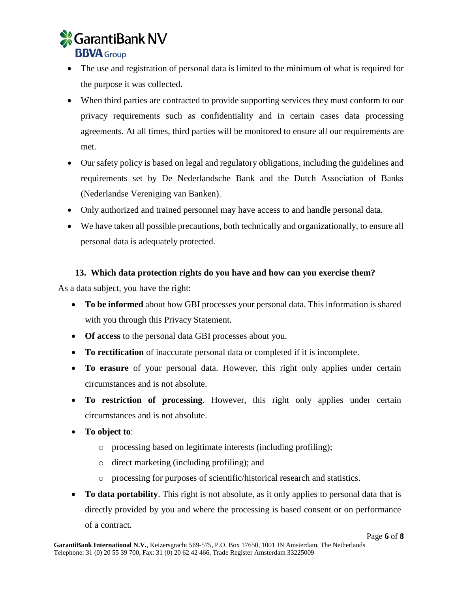

- The use and registration of personal data is limited to the minimum of what is required for the purpose it was collected.
- When third parties are contracted to provide supporting services they must conform to our privacy requirements such as confidentiality and in certain cases data processing agreements. At all times, third parties will be monitored to ensure all our requirements are met.
- Our safety policy is based on legal and regulatory obligations, including the guidelines and requirements set by De Nederlandsche Bank and the Dutch Association of Banks (Nederlandse Vereniging van Banken).
- Only authorized and trained personnel may have access to and handle personal data.
- We have taken all possible precautions, both technically and organizationally, to ensure all personal data is adequately protected.

## **13. Which data protection rights do you have and how can you exercise them?**

As a data subject, you have the right:

- **To be informed** about how GBI processes your personal data. This information is shared with you through this Privacy Statement.
- **Of access** to the personal data GBI processes about you.
- **To rectification** of inaccurate personal data or completed if it is incomplete.
- **To erasure** of your personal data. However, this right only applies under certain circumstances and is not absolute.
- **To restriction of processing**. However, this right only applies under certain circumstances and is not absolute.
- **To object to**:
	- o processing based on legitimate interests (including profiling);
	- o direct marketing (including profiling); and
	- o processing for purposes of scientific/historical research and statistics.
- **To data portability**. This right is not absolute, as it only applies to personal data that is directly provided by you and where the processing is based consent or on performance of a contract.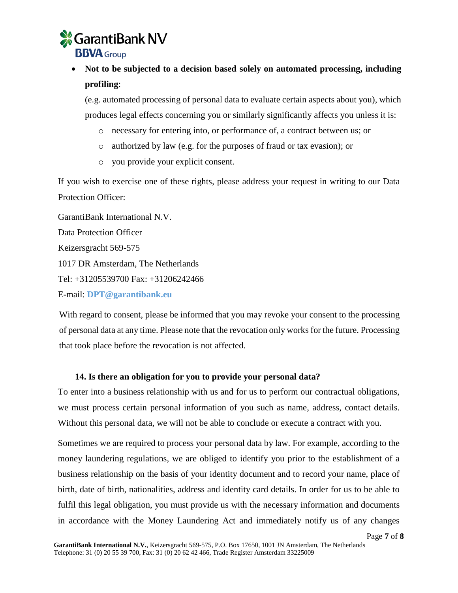

# **Not to be subjected to a decision based solely on automated processing, including profiling**:

(e.g. automated processing of personal data to evaluate certain aspects about you), which produces legal effects concerning you or similarly significantly affects you unless it is:

- o necessary for entering into, or performance of, a contract between us; or
- o authorized by law (e.g. for the purposes of fraud or tax evasion); or
- o you provide your explicit consent.

If you wish to exercise one of these rights, please address your request in writing to our Data Protection Officer:

GarantiBank International N.V. Data Protection Officer Keizersgracht 569-575 1017 DR Amsterdam, The Netherlands Tel: +31205539700 Fax: +31206242466

E-mail: **[DPT@garantibank.eu](mailto:DPT@garantibank.eu)**

With regard to consent, please be informed that you may revoke your consent to the processing of personal data at any time. Please note that the revocation only works for the future. Processing that took place before the revocation is not affected.

### **14. Is there an obligation for you to provide your personal data?**

To enter into a business relationship with us and for us to perform our contractual obligations, we must process certain personal information of you such as name, address, contact details. Without this personal data, we will not be able to conclude or execute a contract with you.

Sometimes we are required to process your personal data by law. For example, according to the money laundering regulations, we are obliged to identify you prior to the establishment of a business relationship on the basis of your identity document and to record your name, place of birth, date of birth, nationalities, address and identity card details. In order for us to be able to fulfil this legal obligation, you must provide us with the necessary information and documents in accordance with the Money Laundering Act and immediately notify us of any changes